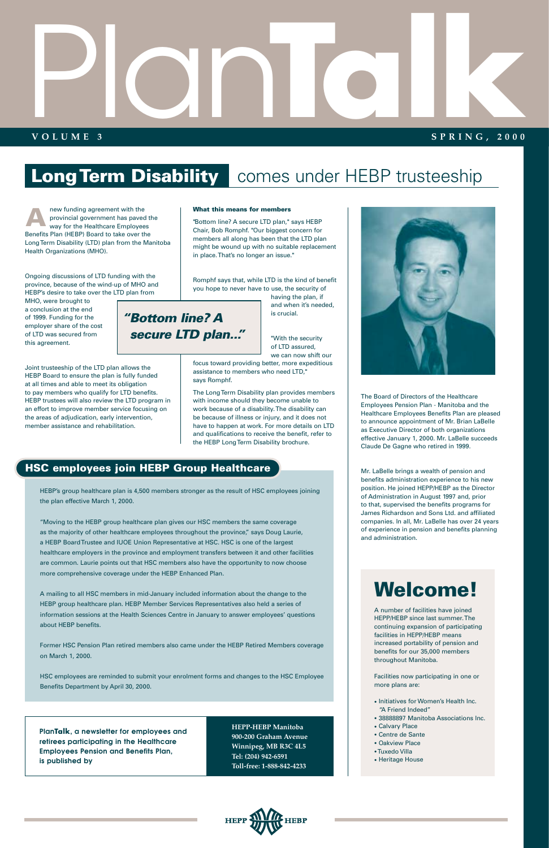Ongoing discussions of LTD funding with the province, because of the wind-up of MHO and HEBP's desire to take over the LTD plan from

MHO, were brought to a conclusion at the end of 1999. Funding for the employer share of the cost of LTD was secured from this agreement.

"With the security of LTD assured, we can now shift our

Joint trusteeship of the LTD plan allows the HEBP Board to ensure the plan is fully funded at all times and able to meet its obligation to pay members who qualify for LTD benefits. HEBP trustees will also review the LTD program in an effort to improve member service focusing on the areas of adjudication, early intervention, member assistance and rehabilitation.

#### **What this means for members**

"Bottom line? A secure LTD plan," says HEBP Chair, Bob Romphf. "Our biggest concern for members all along has been that the LTD plan might be wound up with no suitable replacement in place. That's no longer an issue."

Romphf says that, while LTD is the kind of benefit you hope to never have to use, the security of

having the plan, if and when it's needed, is crucial.

focus toward providing better, more expeditious assistance to members who need LTD," says Romphf.

The Long Term Disability plan provides members with income should they become unable to work because of a disability. The disability can be because of illness or injury, and it does not have to happen at work. For more details on LTD and qualifications to receive the benefit, refer to the HEBP Long Term Disability brochure.

new funding agreement with the provincial government has paved the way for the Healthcare Employees Benefits Plan (HEBP) Board to take over the Long Term Disability (LTD) plan from the Manitoba Health Organizations (MHO). **A**

> The Board of Directors of the Healthcare Employees Pension Plan - Manitoba and the Healthcare Employees Benefits Plan are pleased to announce appointment of Mr. Brian LaBelle as Executive Director of both organizations effective January 1, 2000. Mr. LaBelle succeeds Claude De Gagne who retired in 1999.

Mr. LaBelle brings a wealth of pension and benefits administration experience to his new position. He joined HEPP/HEBP as the Director of Administration in August 1997 and, prior to that, supervised the benefits programs for James Richardson and Sons Ltd. and affiliated companies. In all, Mr. LaBelle has over 24 years of experience in pension and benefits planning and administration.

# Plan **TALK SPRING, 2000**

#### **VOLUME 3**

#### **SPRING, 2000**

### **Long Term Disability** comes under HEBP trusteeship

#### **HSC employees join HEBP Group Healthcare**

HEBP's group healthcare plan is 4,500 members stronger as the result of HSC employees joining the plan effective March 1, 2000.

"Moving to the HEBP group healthcare plan gives our HSC members the same coverage as the majority of other healthcare employees throughout the province," says Doug Laurie, a HEBP Board Trustee and IUOE Union Representative at HSC. HSC is one of the largest healthcare employers in the province and employment transfers between it and other facilities are common. Laurie points out that HSC members also have the opportunity to now choose more comprehensive coverage under the HEBP Enhanced Plan.

A mailing to all HSC members in mid-January included information about the change to the HEBP group healthcare plan. HEBP Member Services Representatives also held a series of information sessions at the Health Sciences Centre in January to answer employees' questions



#### about HEBP benefits.

Former HSC Pension Plan retired members also came under the HEBP Retired Members coverage on March 1, 2000.

HSC employees are reminded to submit your enrolment forms and changes to the HSC Employee Benefits Department by April 30, 2000.

### *"Bottom line? A secure LTD plan..."*

### **Welcome!**

A number of facilities have joined HEPP/HEBP since last summer. The

continuing expansion of participating facilities in HEPP/HEBP means increased portability of pension and benefits for our 35,000 members throughout Manitoba.

Facilities now participating in one or more plans are:

- Initiatives for Women's Health Inc. "A Friend Indeed"
- 38888897 Manitoba Associations Inc.
- Calvary Place
- Centre de Sante
- Oakview Place
- •Tuxedo Villa
- Heritage House



**PlanTalk, a newsletter for employees and retirees participating in the Healthcare Employees Pension and Benefits Plan, is published by**

**HEPP-HEBP Manitoba 900-200 Graham Avenue Winnipeg, MB R3C 4L5 Tel: (204) 942-6591 Toll-free: 1-888-842-4233**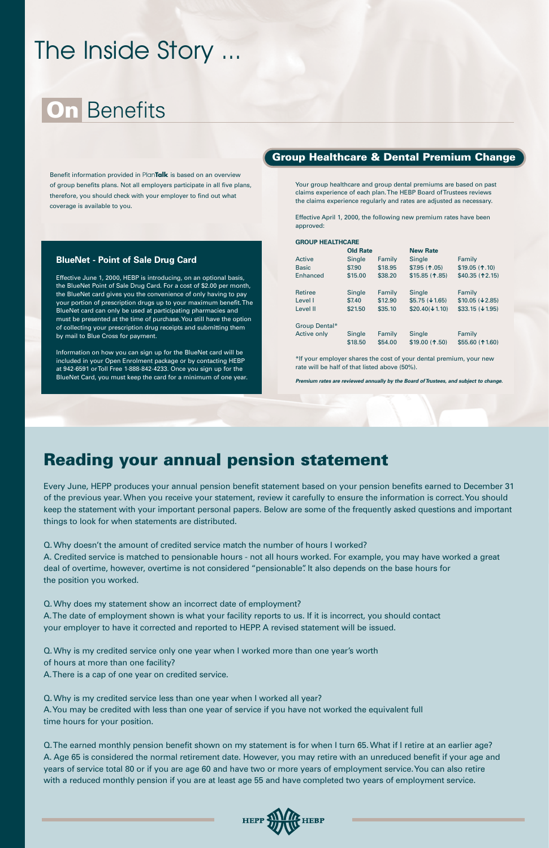### The Inside Story ...

### **On** Benefits

Benefit information provided in Plan**Talk** is based on an overview of group benefits plans. Not all employers participate in all five plans, therefore, you should check with your employer to find out what coverage is available to you.

#### **Group Healthcare & Dental Premium Change**

#### **BlueNet - Point of Sale Drug Card**

Effective June 1, 2000, HEBP is introducing, on an optional basis, the BlueNet Point of Sale Drug Card. For a cost of \$2.00 per month, the BlueNet card gives you the convenience of only having to pay your portion of prescription drugs up to your maximum benefit. The BlueNet card can only be used at participating pharmacies and must be presented at the time of purchase. You still have the option of collecting your prescription drug receipts and submitting them by mail to Blue Cross for payment.

Information on how you can sign up for the BlueNet card will be included in your Open Enrolment package or by contacting HEBP at 942-6591 or Toll Free 1-888-842-4233. Once you sign up for the BlueNet Card, you must keep the card for a minimum of one year. Your group healthcare and group dental premiums are based on past claims experience of each plan. The HEBP Board of Trustees reviews the claims experience regularly and rates are adjusted as necessary.

Effective April 1, 2000, the following new premium rates have been approved:

#### **GROUP HEALTHCARE**

|                | <b>Old Rate</b>   |                   | <b>New Rate</b>            |                            |
|----------------|-------------------|-------------------|----------------------------|----------------------------|
| Active         | Single            | Family            | <b>Single</b>              | Family                     |
| <b>Basic</b>   | \$7.90            | \$18.95           | $$7.95(+.05)$              | \$19.05 (1.10)             |
| Enhanced       | \$15.00           | \$38.20           | $$15.85$ (1.85)            | \$40.35 (12.15)            |
| <b>Retiree</b> | Single            | Family            | Single                     | Family                     |
| Level I        | \$7.40            | \$12.90           | $$5.75 (\downarrow 1.65)$  | \$10.05 ( <b>42.85</b> )   |
| Level II       | \$21.50           | \$35.10           | $$20,40 (\downarrow 1.10)$ | $$33.15 (\downarrow 1.95)$ |
| Group Dental*  |                   |                   |                            |                            |
| Active only    | Single<br>\$18.50 | Family<br>\$54.00 | Single<br>\$19.00 (1.50)   | Family<br>\$55.60 (11.60)  |

\*If your employer shares the cost of your dental premium, your new rate will be half of that listed above (50%).

*Premium rates are reviewed annually by the Board of Trustees, and subject to change.*

### **Reading your annual pension statement**

Every June, HEPP produces your annual pension benefit statement based on your pension benefits earned to December 31 of the previous year. When you receive your statement, review it carefully to ensure the information is correct. You should keep the statement with your important personal papers. Below are some of the frequently asked questions and important things to look for when statements are distributed.

Q. Why doesn't the amount of credited service match the number of hours I worked?

A. Credited service is matched to pensionable hours - not all hours worked. For example, you may have worked a great deal of overtime, however, overtime is not considered "pensionable". It also depends on the base hours for the position you worked.

Q. Why does my statement show an incorrect date of employment? A. The date of employment shown is what your facility reports to us. If it is incorrect, you should contact

your employer to have it corrected and reported to HEPP. A revised statement will be issued.

Q. Why is my credited service only one year when I worked more than one year's worth of hours at more than one facility?

A. There is a cap of one year on credited service.

Q. Why is my credited service less than one year when I worked all year? A. You may be credited with less than one year of service if you have not worked the equivalent full time hours for your position.

Q. The earned monthly pension benefit shown on my statement is for when I turn 65. What if I retire at an earlier age? A. Age 65 is considered the normal retirement date. However, you may retire with an unreduced benefit if your age and years of service total 80 or if you are age 60 and have two or more years of employment service. You can also retire with a reduced monthly pension if you are at least age 55 and have completed two years of employment service.

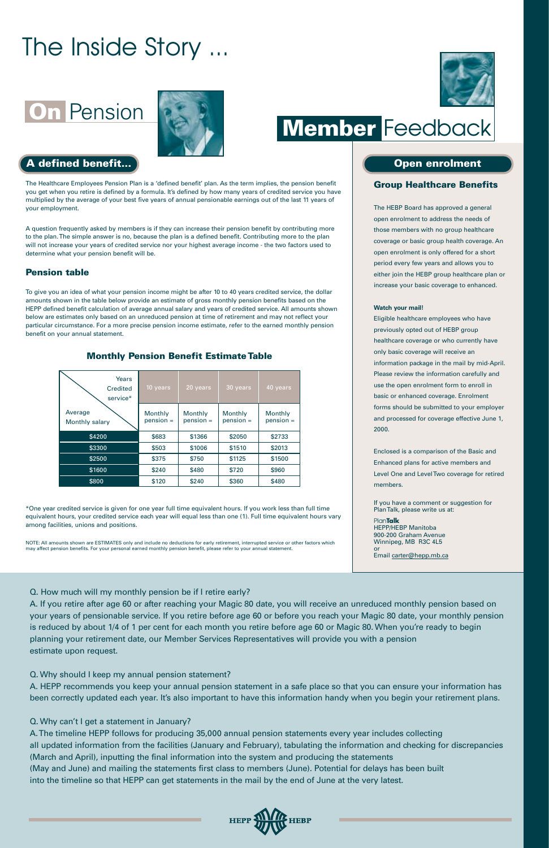The Healthcare Employees Pension Plan is a 'defined benefit' plan. As the term implies, the pension benefit you get when you retire is defined by a formula. It's defined by how many years of credited service you have multiplied by the average of your best five years of annual pensionable earnings out of the last 11 years of your employment.

A question frequently asked by members is if they can increase their pension benefit by contributing more to the plan. The simple answer is no, because the plan is a defined benefit. Contributing more to the plan will not increase your years of credited service nor your highest average income - the two factors used to determine what your pension benefit will be.

#### **Pension table**

To give you an idea of what your pension income might be after 10 to 40 years credited service, the dollar amounts shown in the table below provide an estimate of gross monthly pension benefits based on the HEPP defined benefit calculation of average annual salary and years of credited service. All amounts shown below are estimates only based on an unreduced pension at time of retirement and may not reflect your particular circumstance. For a more precise pension income estimate, refer to the earned monthly pension benefit on your annual statement.

\*One year credited service is given for one year full time equivalent hours. If you work less than full time equivalent hours, your credited service each year will equal less than one (1). Full time equivalent hours vary among facilities, unions and positions.

NOTE: All amounts shown are ESTIMATES only and include no deductions for early retirement, interrupted service or other factors which may affect pension benefits. For your personal earned monthly pension benefit, please refer to your annual statement.

## **On Pension Research Member Feedback**

#### **A** defined benefit... **Open enrolment**

#### **Group Healthcare Benefits**

The HEBP Board has approved a general open enrolment to address the needs of those members with no group healthcare coverage or basic group health coverage. An open enrolment is only offered for a short period every few years and allows you to either join the HEBP group healthcare plan or increase your basic coverage to enhanced.

#### **Watch your mail!**

Eligible healthcare employees who have previously opted out of HEBP group healthcare coverage or who currently have only basic coverage will receive an information package in the mail by mid-April. Please review the information carefully and use the open enrolment form to enroll in basic or enhanced coverage. Enrolment forms should be submitted to your employer and processed for coverage effective June 1, 2000.

Enclosed is a comparison of the Basic and Enhanced plans for active members and Level One and Level Two coverage for retired members.

If you have a comment or suggestion for Plan Talk, please write us at:

Plan**Talk** HEPP/HEBP Manitoba 900-200 Graham Avenue Winnipeg, MB R3C 4L5 or

Email carter@hepp.mb.ca

| Years<br>Credited<br>service* | 10 years               | 20 years               | 30 years               | 40 years               |
|-------------------------------|------------------------|------------------------|------------------------|------------------------|
| Average<br>Monthly salary     | Monthly<br>$pension =$ | Monthly<br>$pension =$ | Monthly<br>$pension =$ | Monthly<br>$pension =$ |
| \$4200                        | \$683                  | \$1366                 | \$2050                 | \$2733                 |
| \$3300                        | \$503                  | \$1006                 | \$1510                 | \$2013                 |
| \$2500                        | \$375                  | \$750                  | \$1125                 | \$1500                 |
| \$1600                        | \$240                  | \$480                  | \$720                  | \$960                  |
| \$800                         | \$120                  | \$240                  | \$360                  | \$480                  |

#### **Monthly Pension Benefit Estimate Table**

### The Inside Story ...







Q. How much will my monthly pension be if I retire early?

A. If you retire after age 60 or after reaching your Magic 80 date, you will receive an unreduced monthly pension based on your years of pensionable service. If you retire before age 60 or before you reach your Magic 80 date, your monthly pension

is reduced by about 1/4 of 1 per cent for each month you retire before age 60 or Magic 80. When you're ready to begin planning your retirement date, our Member Services Representatives will provide you with a pension estimate upon request.

#### Q. Why should I keep my annual pension statement?

A. HEPP recommends you keep your annual pension statement in a safe place so that you can ensure your information has been correctly updated each year. It's also important to have this information handy when you begin your retirement plans.

#### Q. Why can't I get a statement in January?

A. The timeline HEPP follows for producing 35,000 annual pension statements every year includes collecting all updated information from the facilities (January and February), tabulating the information and checking for discrepancies (March and April), inputting the final information into the system and producing the statements (May and June) and mailing the statements first class to members (June). Potential for delays has been built into the timeline so that HEPP can get statements in the mail by the end of June at the very latest.